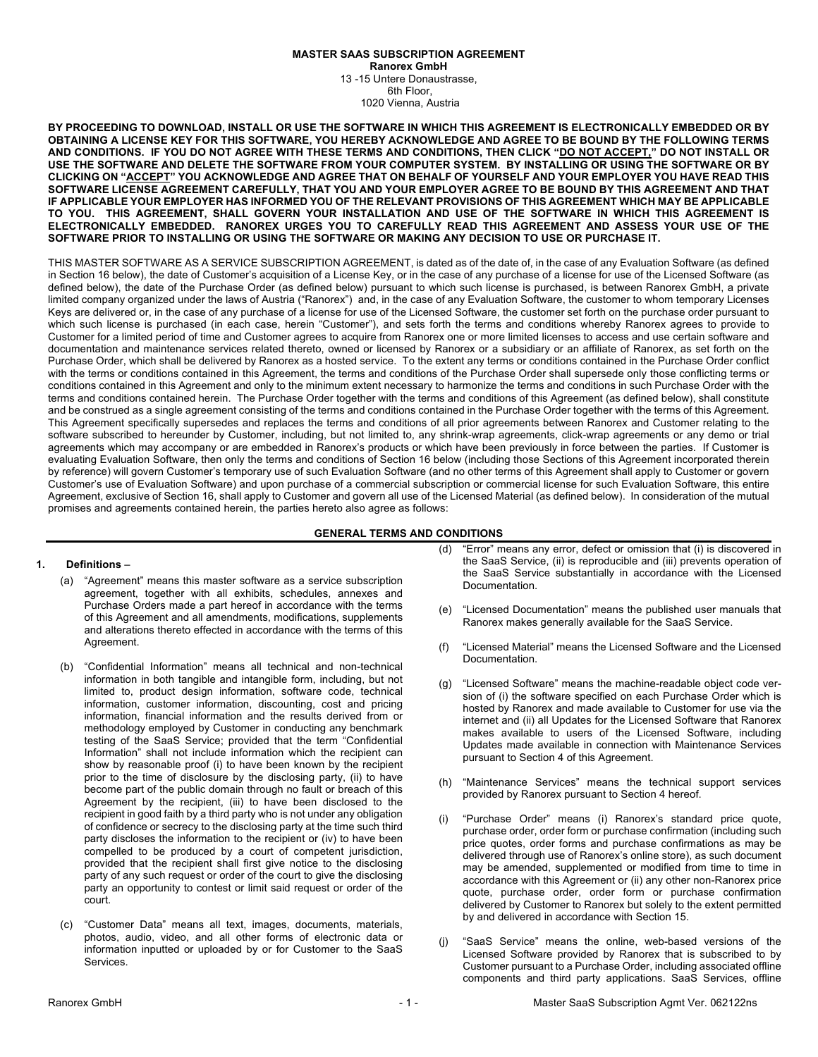## **MASTER SAAS SUBSCRIPTION AGREEMENT Ranorex GmbH** 13 -15 Untere Donaustrasse, 6th Floor,

1020 Vienna, Austria

**BY PROCEEDING TO DOWNLOAD, INSTALL OR USE THE SOFTWARE IN WHICH THIS AGREEMENT IS ELECTRONICALLY EMBEDDED OR BY OBTAINING A LICENSE KEY FOR THIS SOFTWARE, YOU HEREBY ACKNOWLEDGE AND AGREE TO BE BOUND BY THE FOLLOWING TERMS AND CONDITIONS. IF YOU DO NOT AGREE WITH THESE TERMS AND CONDITIONS, THEN CLICK "DO NOT ACCEPT," DO NOT INSTALL OR USE THE SOFTWARE AND DELETE THE SOFTWARE FROM YOUR COMPUTER SYSTEM. BY INSTALLING OR USING THE SOFTWARE OR BY CLICKING ON "ACCEPT" YOU ACKNOWLEDGE AND AGREE THAT ON BEHALF OF YOURSELF AND YOUR EMPLOYER YOU HAVE READ THIS SOFTWARE LICENSE AGREEMENT CAREFULLY, THAT YOU AND YOUR EMPLOYER AGREE TO BE BOUND BY THIS AGREEMENT AND THAT IF APPLICABLE YOUR EMPLOYER HAS INFORMED YOU OF THE RELEVANT PROVISIONS OF THIS AGREEMENT WHICH MAY BE APPLICABLE TO YOU. THIS AGREEMENT, SHALL GOVERN YOUR INSTALLATION AND USE OF THE SOFTWARE IN WHICH THIS AGREEMENT IS ELECTRONICALLY EMBEDDED. RANOREX URGES YOU TO CAREFULLY READ THIS AGREEMENT AND ASSESS YOUR USE OF THE SOFTWARE PRIOR TO INSTALLING OR USING THE SOFTWARE OR MAKING ANY DECISION TO USE OR PURCHASE IT.**

THIS MASTER SOFTWARE AS A SERVICE SUBSCRIPTION AGREEMENT, is dated as of the date of, in the case of any Evaluation Software (as defined in Section 16 below), the date of Customer's acquisition of a License Key, or in the case of any purchase of a license for use of the Licensed Software (as defined below), the date of the Purchase Order (as defined below) pursuant to which such license is purchased, is between Ranorex GmbH, a private limited company organized under the laws of Austria ("Ranorex") and, in the case of any Evaluation Software, the customer to whom temporary Licenses Keys are delivered or, in the case of any purchase of a license for use of the Licensed Software, the customer set forth on the purchase order pursuant to which such license is purchased (in each case, herein "Customer"), and sets forth the terms and conditions whereby Ranorex agrees to provide to Customer for a limited period of time and Customer agrees to acquire from Ranorex one or more limited licenses to access and use certain software and documentation and maintenance services related thereto, owned or licensed by Ranorex or a subsidiary or an affiliate of Ranorex, as set forth on the Purchase Order, which shall be delivered by Ranorex as a hosted service. To the extent any terms or conditions contained in the Purchase Order conflict with the terms or conditions contained in this Agreement, the terms and conditions of the Purchase Order shall supersede only those conflicting terms or conditions contained in this Agreement and only to the minimum extent necessary to harmonize the terms and conditions in such Purchase Order with the terms and conditions contained herein. The Purchase Order together with the terms and conditions of this Agreement (as defined below), shall constitute and be construed as a single agreement consisting of the terms and conditions contained in the Purchase Order together with the terms of this Agreement. This Agreement specifically supersedes and replaces the terms and conditions of all prior agreements between Ranorex and Customer relating to the software subscribed to hereunder by Customer, including, but not limited to, any shrink-wrap agreements, click-wrap agreements or any demo or trial agreements which may accompany or are embedded in Ranorex's products or which have been previously in force between the parties. If Customer is evaluating Evaluation Software, then only the terms and conditions of Section 16 below (including those Sections of this Agreement incorporated therein by reference) will govern Customer's temporary use of such Evaluation Software (and no other terms of this Agreement shall apply to Customer or govern Customer's use of Evaluation Software) and upon purchase of a commercial subscription or commercial license for such Evaluation Software, this entire Agreement, exclusive of Section 16, shall apply to Customer and govern all use of the Licensed Material (as defined below). In consideration of the mutual promises and agreements contained herein, the parties hereto also agree as follows:

## **GENERAL TERMS AND CONDITIONS**

#### **1. Definitions** –

- (a) "Agreement" means this master software as a service subscription agreement, together with all exhibits, schedules, annexes and Purchase Orders made a part hereof in accordance with the terms of this Agreement and all amendments, modifications, supplements and alterations thereto effected in accordance with the terms of this Agreement.
- (b) "Confidential Information" means all technical and non-technical information in both tangible and intangible form, including, but not limited to, product design information, software code, technical information, customer information, discounting, cost and pricing information, financial information and the results derived from or methodology employed by Customer in conducting any benchmark testing of the SaaS Service; provided that the term "Confidential Information" shall not include information which the recipient can show by reasonable proof (i) to have been known by the recipient prior to the time of disclosure by the disclosing party, (ii) to have become part of the public domain through no fault or breach of this Agreement by the recipient, (iii) to have been disclosed to the recipient in good faith by a third party who is not under any obligation of confidence or secrecy to the disclosing party at the time such third party discloses the information to the recipient or (iv) to have been compelled to be produced by a court of competent jurisdiction, provided that the recipient shall first give notice to the disclosing party of any such request or order of the court to give the disclosing party an opportunity to contest or limit said request or order of the court.
- (c) "Customer Data" means all text, images, documents, materials, photos, audio, video, and all other forms of electronic data or information inputted or uploaded by or for Customer to the SaaS Services.
- (d) "Error" means any error, defect or omission that (i) is discovered in the SaaS Service, (ii) is reproducible and (iii) prevents operation of the SaaS Service substantially in accordance with the Licensed Documentation.
- (e) "Licensed Documentation" means the published user manuals that Ranorex makes generally available for the SaaS Service.
- (f) "Licensed Material" means the Licensed Software and the Licensed Documentation.
- (g) "Licensed Software" means the machine-readable object code version of (i) the software specified on each Purchase Order which is hosted by Ranorex and made available to Customer for use via the internet and (ii) all Updates for the Licensed Software that Ranorex makes available to users of the Licensed Software, including Updates made available in connection with Maintenance Services pursuant to Section 4 of this Agreement.
- (h) "Maintenance Services" means the technical support services provided by Ranorex pursuant to Section 4 hereof.
- (i) "Purchase Order" means (i) Ranorex's standard price quote, purchase order, order form or purchase confirmation (including such price quotes, order forms and purchase confirmations as may be delivered through use of Ranorex's online store), as such document may be amended, supplemented or modified from time to time in accordance with this Agreement or (ii) any other non-Ranorex price quote, purchase order, order form or purchase confirmation delivered by Customer to Ranorex but solely to the extent permitted by and delivered in accordance with Section 15.
- (j) "SaaS Service" means the online, web-based versions of the Licensed Software provided by Ranorex that is subscribed to by Customer pursuant to a Purchase Order, including associated offline components and third party applications. SaaS Services, offline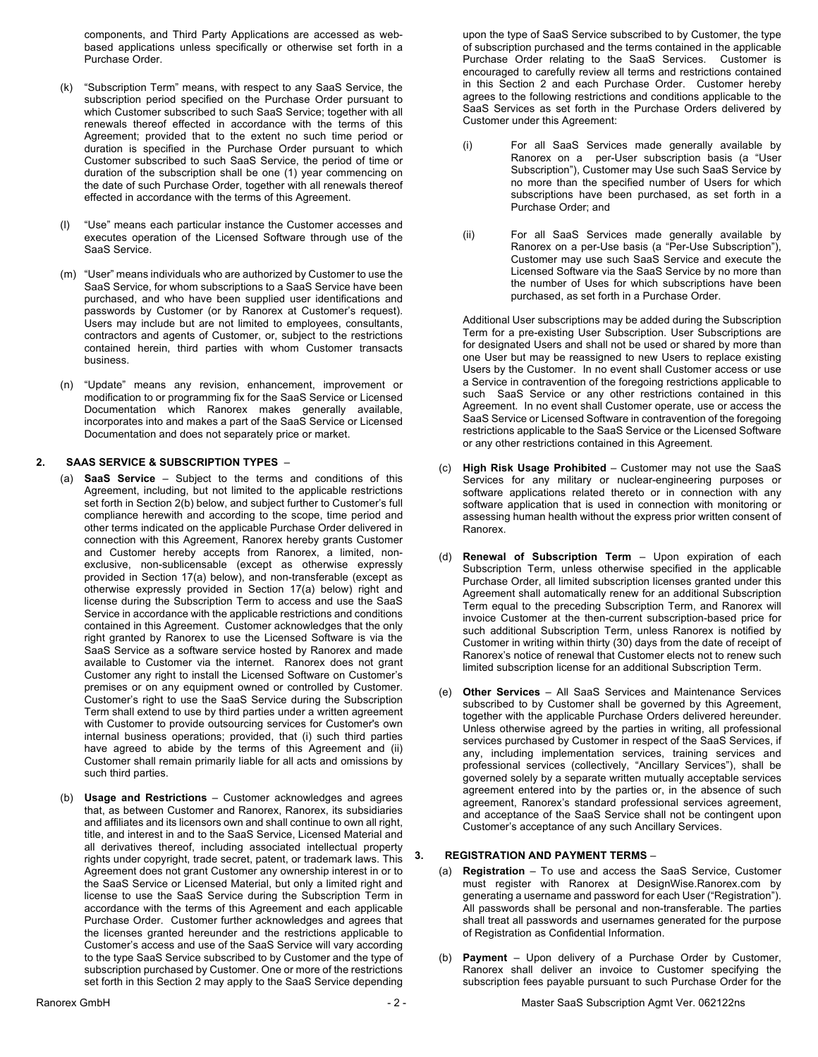components, and Third Party Applications are accessed as webbased applications unless specifically or otherwise set forth in a Purchase Order.

- (k) "Subscription Term" means, with respect to any SaaS Service, the subscription period specified on the Purchase Order pursuant to which Customer subscribed to such SaaS Service; together with all renewals thereof effected in accordance with the terms of this Agreement; provided that to the extent no such time period or duration is specified in the Purchase Order pursuant to which Customer subscribed to such SaaS Service, the period of time or duration of the subscription shall be one (1) year commencing on the date of such Purchase Order, together with all renewals thereof effected in accordance with the terms of this Agreement.
- (l) "Use" means each particular instance the Customer accesses and executes operation of the Licensed Software through use of the SaaS Service.
- (m) "User" means individuals who are authorized by Customer to use the SaaS Service, for whom subscriptions to a SaaS Service have been purchased, and who have been supplied user identifications and passwords by Customer (or by Ranorex at Customer's request). Users may include but are not limited to employees, consultants, contractors and agents of Customer, or, subject to the restrictions contained herein, third parties with whom Customer transacts business.
- (n) "Update" means any revision, enhancement, improvement or modification to or programming fix for the SaaS Service or Licensed Documentation which Ranorex makes generally available, incorporates into and makes a part of the SaaS Service or Licensed Documentation and does not separately price or market.

## **2. SAAS SERVICE & SUBSCRIPTION TYPES** –

- (a) **SaaS Service** Subject to the terms and conditions of this Agreement, including, but not limited to the applicable restrictions set forth in Section 2(b) below, and subject further to Customer's full compliance herewith and according to the scope, time period and other terms indicated on the applicable Purchase Order delivered in connection with this Agreement, Ranorex hereby grants Customer and Customer hereby accepts from Ranorex, a limited, nonexclusive, non-sublicensable (except as otherwise expressly provided in Section 17(a) below), and non-transferable (except as otherwise expressly provided in Section 17(a) below) right and license during the Subscription Term to access and use the SaaS Service in accordance with the applicable restrictions and conditions contained in this Agreement. Customer acknowledges that the only right granted by Ranorex to use the Licensed Software is via the SaaS Service as a software service hosted by Ranorex and made available to Customer via the internet. Ranorex does not grant Customer any right to install the Licensed Software on Customer's premises or on any equipment owned or controlled by Customer. Customer's right to use the SaaS Service during the Subscription Term shall extend to use by third parties under a written agreement with Customer to provide outsourcing services for Customer's own internal business operations; provided, that (i) such third parties have agreed to abide by the terms of this Agreement and (ii) Customer shall remain primarily liable for all acts and omissions by such third parties.
- (b) **Usage and Restrictions** Customer acknowledges and agrees that, as between Customer and Ranorex, Ranorex, its subsidiaries and affiliates and its licensors own and shall continue to own all right, title, and interest in and to the SaaS Service, Licensed Material and all derivatives thereof, including associated intellectual property rights under copyright, trade secret, patent, or trademark laws. This Agreement does not grant Customer any ownership interest in or to the SaaS Service or Licensed Material, but only a limited right and license to use the SaaS Service during the Subscription Term in accordance with the terms of this Agreement and each applicable Purchase Order. Customer further acknowledges and agrees that the licenses granted hereunder and the restrictions applicable to Customer's access and use of the SaaS Service will vary according to the type SaaS Service subscribed to by Customer and the type of subscription purchased by Customer. One or more of the restrictions set forth in this Section 2 may apply to the SaaS Service depending

upon the type of SaaS Service subscribed to by Customer, the type of subscription purchased and the terms contained in the applicable Purchase Order relating to the SaaS Services. Customer is encouraged to carefully review all terms and restrictions contained in this Section 2 and each Purchase Order. Customer hereby agrees to the following restrictions and conditions applicable to the SaaS Services as set forth in the Purchase Orders delivered by Customer under this Agreement:

- (i) For all SaaS Services made generally available by Ranorex on a per-User subscription basis (a "User Subscription"), Customer may Use such SaaS Service by no more than the specified number of Users for which subscriptions have been purchased, as set forth in a Purchase Order; and
- (ii) For all SaaS Services made generally available by Ranorex on a per-Use basis (a "Per-Use Subscription"), Customer may use such SaaS Service and execute the Licensed Software via the SaaS Service by no more than the number of Uses for which subscriptions have been purchased, as set forth in a Purchase Order.

Additional User subscriptions may be added during the Subscription Term for a pre-existing User Subscription. User Subscriptions are for designated Users and shall not be used or shared by more than one User but may be reassigned to new Users to replace existing Users by the Customer. In no event shall Customer access or use a Service in contravention of the foregoing restrictions applicable to such SaaS Service or any other restrictions contained in this Agreement. In no event shall Customer operate, use or access the SaaS Service or Licensed Software in contravention of the foregoing restrictions applicable to the SaaS Service or the Licensed Software or any other restrictions contained in this Agreement.

- (c) **High Risk Usage Prohibited** Customer may not use the SaaS Services for any military or nuclear-engineering purposes or software applications related thereto or in connection with any software application that is used in connection with monitoring or assessing human health without the express prior written consent of Ranorex.
- (d) **Renewal of Subscription Term** Upon expiration of each Subscription Term, unless otherwise specified in the applicable Purchase Order, all limited subscription licenses granted under this Agreement shall automatically renew for an additional Subscription Term equal to the preceding Subscription Term, and Ranorex will invoice Customer at the then-current subscription-based price for such additional Subscription Term, unless Ranorex is notified by Customer in writing within thirty (30) days from the date of receipt of Ranorex's notice of renewal that Customer elects not to renew such limited subscription license for an additional Subscription Term.
- (e) **Other Services**  All SaaS Services and Maintenance Services subscribed to by Customer shall be governed by this Agreement, together with the applicable Purchase Orders delivered hereunder. Unless otherwise agreed by the parties in writing, all professional services purchased by Customer in respect of the SaaS Services, if any, including implementation services, training services and professional services (collectively, "Ancillary Services"), shall be governed solely by a separate written mutually acceptable services agreement entered into by the parties or, in the absence of such agreement, Ranorex's standard professional services agreement, and acceptance of the SaaS Service shall not be contingent upon Customer's acceptance of any such Ancillary Services.

#### **3. REGISTRATION AND PAYMENT TERMS** –

- (a) **Registration** To use and access the SaaS Service, Customer must register with Ranorex at DesignWise.Ranorex.com by generating a username and password for each User ("Registration"). All passwords shall be personal and non-transferable. The parties shall treat all passwords and usernames generated for the purpose of Registration as Confidential Information.
- (b) **Payment** Upon delivery of a Purchase Order by Customer, Ranorex shall deliver an invoice to Customer specifying the subscription fees payable pursuant to such Purchase Order for the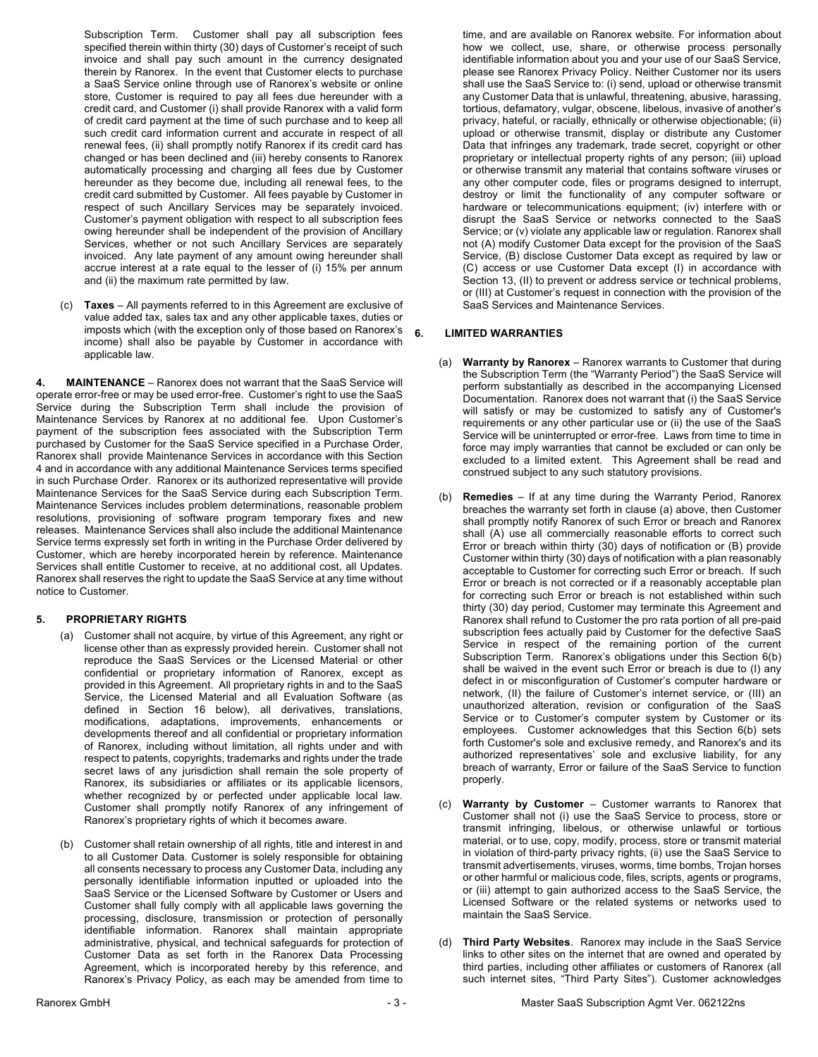Subscription Term. Customer shall pay all subscription fees specified therein within thirty (30) days of Customer's receipt of such invoice and shall pay such amount in the currency designated therein by Ranorex. In the event that Customer elects to purchase a SaaS Service online through use of Ranorex's website or online store, Customer is required to pay all fees due hereunder with a credit card, and Customer (i) shall provide Ranorex with a valid form of credit card payment at the time of such purchase and to keep all such credit card information current and accurate in respect of all renewal fees, (ii) shall promptly notify Ranorex if its credit card has changed or has been declined and (iii) hereby consents to Ranorex automatically processing and charging all fees due by Customer hereunder as they become due, including all renewal fees, to the credit card submitted by Customer. All fees payable by Customer in respect of such Ancillary Services may be separately invoiced. Customer's payment obligation with respect to all subscription fees owing hereunder shall be independent of the provision of Ancillary Services, whether or not such Ancillary Services are separately invoiced. Any late payment of any amount owing hereunder shall accrue interest at a rate equal to the lesser of (i) 15% per annum and (ii) the maximum rate permitted by law.

(c) **Taxes** – All payments referred to in this Agreement are exclusive of value added tax, sales tax and any other applicable taxes, duties or imposts which (with the exception only of those based on Ranorex's income) shall also be payable by Customer in accordance with applicable law.

**4. MAINTENANCE** – Ranorex does not warrant that the SaaS Service will operate error-free or may be used error-free. Customer's right to use the SaaS Service during the Subscription Term shall include the provision of Maintenance Services by Ranorex at no additional fee. Upon Customer's payment of the subscription fees associated with the Subscription Term purchased by Customer for the SaaS Service specified in a Purchase Order, Ranorex shall provide Maintenance Services in accordance with this Section 4 and in accordance with any additional Maintenance Services terms specified in such Purchase Order. Ranorex or its authorized representative will provide Maintenance Services for the SaaS Service during each Subscription Term. Maintenance Services includes problem determinations, reasonable problem resolutions, provisioning of software program temporary fixes and new releases. Maintenance Services shall also include the additional Maintenance Service terms expressly set forth in writing in the Purchase Order delivered by Customer, which are hereby incorporated herein by reference. Maintenance Services shall entitle Customer to receive, at no additional cost, all Updates. Ranorex shall reserves the right to update the SaaS Service at any time without notice to Customer.

#### **5. PROPRIETARY RIGHTS**

- (a) Customer shall not acquire, by virtue of this Agreement, any right or license other than as expressly provided herein. Customer shall not reproduce the SaaS Services or the Licensed Material or other confidential or proprietary information of Ranorex, except as provided in this Agreement. All proprietary rights in and to the SaaS Service, the Licensed Material and all Evaluation Software (as defined in Section 16 below), all derivatives, translations, modifications, adaptations, improvements, enhancements or developments thereof and all confidential or proprietary information of Ranorex, including without limitation, all rights under and with respect to patents, copyrights, trademarks and rights under the trade secret laws of any jurisdiction shall remain the sole property of Ranorex, its subsidiaries or affiliates or its applicable licensors, whether recognized by or perfected under applicable local law. Customer shall promptly notify Ranorex of any infringement of Ranorex's proprietary rights of which it becomes aware.
- (b) Customer shall retain ownership of all rights, title and interest in and to all Customer Data. Customer is solely responsible for obtaining all consents necessary to process any Customer Data, including any personally identifiable information inputted or uploaded into the SaaS Service or the Licensed Software by Customer or Users and Customer shall fully comply with all applicable laws governing the processing, disclosure, transmission or protection of personally identifiable information. Ranorex shall maintain appropriate administrative, physical, and technical safeguards for protection of Customer Data as set forth in the Ranorex Data Processing Agreement, which is incorporated hereby by this reference, and Ranorex's Privacy Policy, as each may be amended from time to

time, and are available on Ranorex website. For information about how we collect, use, share, or otherwise process personally identifiable information about you and your use of our SaaS Service, please see Ranorex Privacy Policy. Neither Customer nor its users shall use the SaaS Service to: (i) send, upload or otherwise transmit any Customer Data that is unlawful, threatening, abusive, harassing, tortious, defamatory, vulgar, obscene, libelous, invasive of another's privacy, hateful, or racially, ethnically or otherwise objectionable; (ii) upload or otherwise transmit, display or distribute any Customer Data that infringes any trademark, trade secret, copyright or other proprietary or intellectual property rights of any person; (iii) upload or otherwise transmit any material that contains software viruses or any other computer code, files or programs designed to interrupt, destroy or limit the functionality of any computer software or hardware or telecommunications equipment; (iv) interfere with or disrupt the SaaS Service or networks connected to the SaaS Service; or (v) violate any applicable law or regulation. Ranorex shall not (A) modify Customer Data except for the provision of the SaaS Service, (B) disclose Customer Data except as required by law or (C) access or use Customer Data except (I) in accordance with Section 13, (II) to prevent or address service or technical problems, or (III) at Customer's request in connection with the provision of the SaaS Services and Maintenance Services.

#### **6. LIMITED WARRANTIES**

- (a) **Warranty by Ranorex** Ranorex warrants to Customer that during the Subscription Term (the "Warranty Period") the SaaS Service will perform substantially as described in the accompanying Licensed Documentation. Ranorex does not warrant that (i) the SaaS Service will satisfy or may be customized to satisfy any of Customer's requirements or any other particular use or (ii) the use of the SaaS Service will be uninterrupted or error-free. Laws from time to time in force may imply warranties that cannot be excluded or can only be excluded to a limited extent. This Agreement shall be read and construed subject to any such statutory provisions.
- (b) **Remedies**  If at any time during the Warranty Period, Ranorex breaches the warranty set forth in clause (a) above, then Customer shall promptly notify Ranorex of such Error or breach and Ranorex shall (A) use all commercially reasonable efforts to correct such Error or breach within thirty (30) days of notification or (B) provide Customer within thirty (30) days of notification with a plan reasonably acceptable to Customer for correcting such Error or breach. If such Error or breach is not corrected or if a reasonably acceptable plan for correcting such Error or breach is not established within such thirty (30) day period, Customer may terminate this Agreement and Ranorex shall refund to Customer the pro rata portion of all pre-paid subscription fees actually paid by Customer for the defective SaaS Service in respect of the remaining portion of the current Subscription Term. Ranorex's obligations under this Section 6(b) shall be waived in the event such Error or breach is due to (I) any defect in or misconfiguration of Customer's computer hardware or network, (II) the failure of Customer's internet service, or (III) an unauthorized alteration, revision or configuration of the SaaS Service or to Customer's computer system by Customer or its employees. Customer acknowledges that this Section 6(b) sets forth Customer's sole and exclusive remedy, and Ranorex's and its authorized representatives' sole and exclusive liability, for any breach of warranty, Error or failure of the SaaS Service to function properly.
- (c) **Warranty by Customer**  Customer warrants to Ranorex that Customer shall not (i) use the SaaS Service to process, store or transmit infringing, libelous, or otherwise unlawful or tortious material, or to use, copy, modify, process, store or transmit material in violation of third-party privacy rights, (ii) use the SaaS Service to transmit advertisements, viruses, worms, time bombs, Trojan horses or other harmful or malicious code, files, scripts, agents or programs, or (iii) attempt to gain authorized access to the SaaS Service, the Licensed Software or the related systems or networks used to maintain the SaaS Service.
- (d) **Third Party Websites**. Ranorex may include in the SaaS Service links to other sites on the internet that are owned and operated by third parties, including other affiliates or customers of Ranorex (all such internet sites, "Third Party Sites"). Customer acknowledges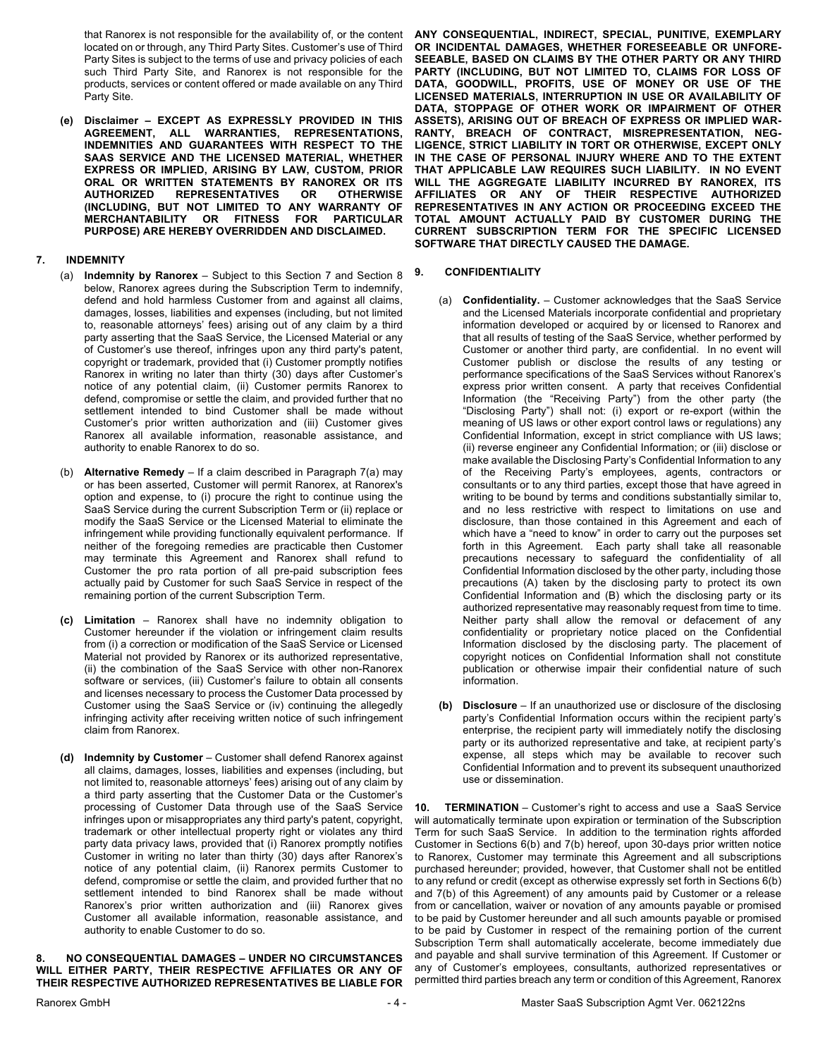that Ranorex is not responsible for the availability of, or the content located on or through, any Third Party Sites. Customer's use of Third Party Sites is subject to the terms of use and privacy policies of each such Third Party Site, and Ranorex is not responsible for the products, services or content offered or made available on any Third Party Site.

**(e) Disclaimer – EXCEPT AS EXPRESSLY PROVIDED IN THIS AGREEMENT, ALL WARRANTIES, REPRESENTATIONS, INDEMNITIES AND GUARANTEES WITH RESPECT TO THE SAAS SERVICE AND THE LICENSED MATERIAL, WHETHER EXPRESS OR IMPLIED, ARISING BY LAW, CUSTOM, PRIOR ORAL OR WRITTEN STATEMENTS BY RANOREX OR ITS AUTHORIZED REPRESENTATIVES OR OTHERWISE (INCLUDING, BUT NOT LIMITED TO ANY WARRANTY OF MERCHANTABILITY OR FITNESS FOR PARTICULAR PURPOSE) ARE HEREBY OVERRIDDEN AND DISCLAIMED.**

## **7. INDEMNITY**

- (a) **Indemnity by Ranorex** Subject to this Section 7 and Section 8 below, Ranorex agrees during the Subscription Term to indemnify, defend and hold harmless Customer from and against all claims, damages, losses, liabilities and expenses (including, but not limited to, reasonable attorneys' fees) arising out of any claim by a third party asserting that the SaaS Service, the Licensed Material or any of Customer's use thereof, infringes upon any third party's patent, copyright or trademark, provided that (i) Customer promptly notifies Ranorex in writing no later than thirty (30) days after Customer's notice of any potential claim, (ii) Customer permits Ranorex to defend, compromise or settle the claim, and provided further that no settlement intended to bind Customer shall be made without Customer's prior written authorization and (iii) Customer gives Ranorex all available information, reasonable assistance, and authority to enable Ranorex to do so.
- (b) **Alternative Remedy** If a claim described in Paragraph 7(a) may or has been asserted, Customer will permit Ranorex, at Ranorex's option and expense, to (i) procure the right to continue using the SaaS Service during the current Subscription Term or (ii) replace or modify the SaaS Service or the Licensed Material to eliminate the infringement while providing functionally equivalent performance. If neither of the foregoing remedies are practicable then Customer may terminate this Agreement and Ranorex shall refund to Customer the pro rata portion of all pre-paid subscription fees actually paid by Customer for such SaaS Service in respect of the remaining portion of the current Subscription Term.
- **(c) Limitation** Ranorex shall have no indemnity obligation to Customer hereunder if the violation or infringement claim results from (i) a correction or modification of the SaaS Service or Licensed Material not provided by Ranorex or its authorized representative, (ii) the combination of the SaaS Service with other non-Ranorex software or services, (iii) Customer's failure to obtain all consents and licenses necessary to process the Customer Data processed by Customer using the SaaS Service or (iv) continuing the allegedly infringing activity after receiving written notice of such infringement claim from Ranorex.
- **(d) Indemnity by Customer**  Customer shall defend Ranorex against all claims, damages, losses, liabilities and expenses (including, but not limited to, reasonable attorneys' fees) arising out of any claim by a third party asserting that the Customer Data or the Customer's processing of Customer Data through use of the SaaS Service infringes upon or misappropriates any third party's patent, copyright, trademark or other intellectual property right or violates any third party data privacy laws, provided that (i) Ranorex promptly notifies Customer in writing no later than thirty (30) days after Ranorex's notice of any potential claim, (ii) Ranorex permits Customer to defend, compromise or settle the claim, and provided further that no settlement intended to bind Ranorex shall be made without Ranorex's prior written authorization and (iii) Ranorex gives Customer all available information, reasonable assistance, and authority to enable Customer to do so.

## **8. NO CONSEQUENTIAL DAMAGES – UNDER NO CIRCUMSTANCES WILL EITHER PARTY, THEIR RESPECTIVE AFFILIATES OR ANY OF THEIR RESPECTIVE AUTHORIZED REPRESENTATIVES BE LIABLE FOR**

**ANY CONSEQUENTIAL, INDIRECT, SPECIAL, PUNITIVE, EXEMPLARY OR INCIDENTAL DAMAGES, WHETHER FORESEEABLE OR UNFORE-SEEABLE, BASED ON CLAIMS BY THE OTHER PARTY OR ANY THIRD PARTY (INCLUDING, BUT NOT LIMITED TO, CLAIMS FOR LOSS OF DATA, GOODWILL, PROFITS, USE OF MONEY OR USE OF THE LICENSED MATERIALS, INTERRUPTION IN USE OR AVAILABILITY OF DATA, STOPPAGE OF OTHER WORK OR IMPAIRMENT OF OTHER ASSETS), ARISING OUT OF BREACH OF EXPRESS OR IMPLIED WAR-RANTY, BREACH OF CONTRACT, MISREPRESENTATION, NEG-LIGENCE, STRICT LIABILITY IN TORT OR OTHERWISE, EXCEPT ONLY IN THE CASE OF PERSONAL INJURY WHERE AND TO THE EXTENT THAT APPLICABLE LAW REQUIRES SUCH LIABILITY. IN NO EVENT WILL THE AGGREGATE LIABILITY INCURRED BY RANOREX, ITS AFFILIATES OR ANY OF THEIR RESPECTIVE AUTHORIZED REPRESENTATIVES IN ANY ACTION OR PROCEEDING EXCEED THE TOTAL AMOUNT ACTUALLY PAID BY CUSTOMER DURING THE CURRENT SUBSCRIPTION TERM FOR THE SPECIFIC LICENSED SOFTWARE THAT DIRECTLY CAUSED THE DAMAGE.**

# **9. CONFIDENTIALITY**

- (a) **Confidentiality.** Customer acknowledges that the SaaS Service and the Licensed Materials incorporate confidential and proprietary information developed or acquired by or licensed to Ranorex and that all results of testing of the SaaS Service, whether performed by Customer or another third party, are confidential. In no event will Customer publish or disclose the results of any testing or performance specifications of the SaaS Services without Ranorex's express prior written consent. A party that receives Confidential Information (the "Receiving Party") from the other party (the "Disclosing Party") shall not: (i) export or re-export (within the meaning of US laws or other export control laws or regulations) any Confidential Information, except in strict compliance with US laws; (ii) reverse engineer any Confidential Information; or (iii) disclose or make available the Disclosing Party's Confidential Information to any of the Receiving Party's employees, agents, contractors or consultants or to any third parties, except those that have agreed in writing to be bound by terms and conditions substantially similar to, and no less restrictive with respect to limitations on use and disclosure, than those contained in this Agreement and each of which have a "need to know" in order to carry out the purposes set forth in this Agreement. Each party shall take all reasonable precautions necessary to safeguard the confidentiality of all Confidential Information disclosed by the other party, including those precautions (A) taken by the disclosing party to protect its own Confidential Information and (B) which the disclosing party or its authorized representative may reasonably request from time to time. Neither party shall allow the removal or defacement of any confidentiality or proprietary notice placed on the Confidential Information disclosed by the disclosing party. The placement of copyright notices on Confidential Information shall not constitute publication or otherwise impair their confidential nature of such information.
- **(b) Disclosure**  If an unauthorized use or disclosure of the disclosing party's Confidential Information occurs within the recipient party's enterprise, the recipient party will immediately notify the disclosing party or its authorized representative and take, at recipient party's expense, all steps which may be available to recover such Confidential Information and to prevent its subsequent unauthorized use or dissemination.

**10. TERMINATION** – Customer's right to access and use a SaaS Service will automatically terminate upon expiration or termination of the Subscription Term for such SaaS Service. In addition to the termination rights afforded Customer in Sections 6(b) and 7(b) hereof, upon 30-days prior written notice to Ranorex, Customer may terminate this Agreement and all subscriptions purchased hereunder; provided, however, that Customer shall not be entitled to any refund or credit (except as otherwise expressly set forth in Sections 6(b) and 7(b) of this Agreement) of any amounts paid by Customer or a release from or cancellation, waiver or novation of any amounts payable or promised to be paid by Customer hereunder and all such amounts payable or promised to be paid by Customer in respect of the remaining portion of the current Subscription Term shall automatically accelerate, become immediately due and payable and shall survive termination of this Agreement. If Customer or any of Customer's employees, consultants, authorized representatives or permitted third parties breach any term or condition of this Agreement, Ranorex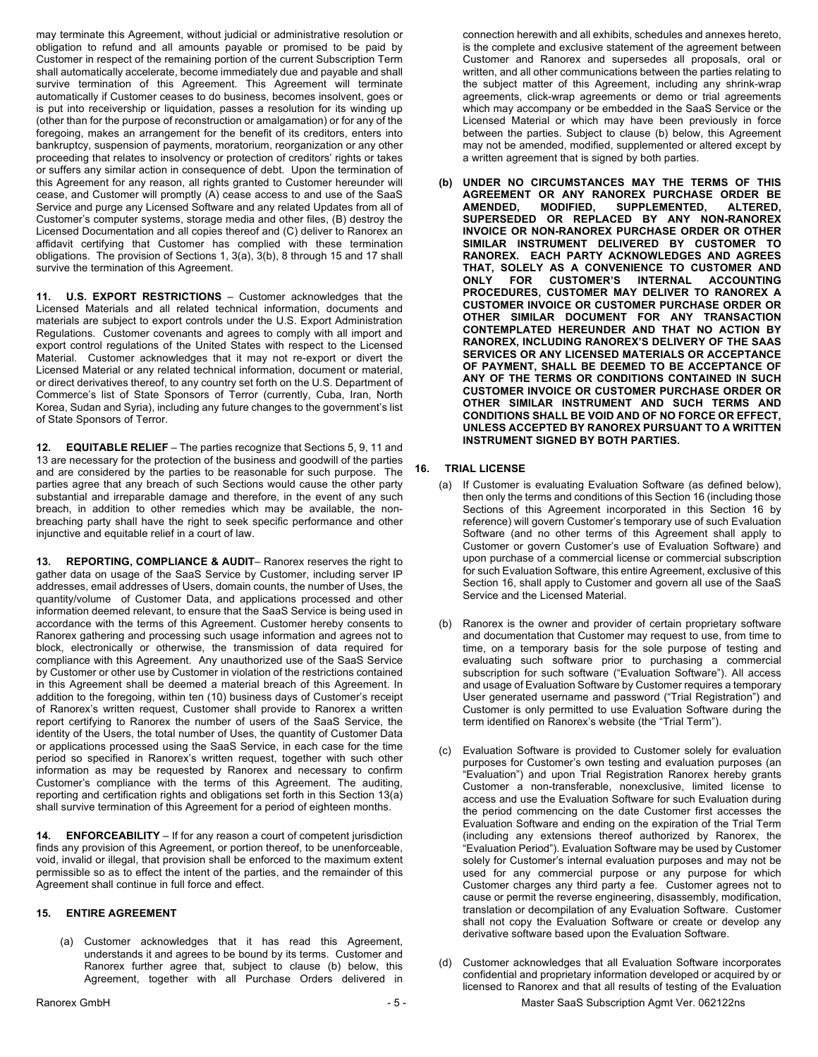may terminate this Agreement, without judicial or administrative resolution or obligation to refund and all amounts payable or promised to be paid by Customer in respect of the remaining portion of the current Subscription Term shall automatically accelerate, become immediately due and payable and shall survive termination of this Agreement. This Agreement will terminate automatically if Customer ceases to do business, becomes insolvent, goes or is put into receivership or liquidation, passes a resolution for its winding up (other than for the purpose of reconstruction or amalgamation) or for any of the foregoing, makes an arrangement for the benefit of its creditors, enters into bankruptcy, suspension of payments, moratorium, reorganization or any other proceeding that relates to insolvency or protection of creditors' rights or takes or suffers any similar action in consequence of debt. Upon the termination of this Agreement for any reason, all rights granted to Customer hereunder will cease, and Customer will promptly (A) cease access to and use of the SaaS Service and purge any Licensed Software and any related Updates from all of Customer's computer systems, storage media and other files, (B) destroy the Licensed Documentation and all copies thereof and (C) deliver to Ranorex an affidavit certifying that Customer has complied with these termination obligations. The provision of Sections 1, 3(a), 3(b), 8 through 15 and 17 shall survive the termination of this Agreement.

**11. U.S. EXPORT RESTRICTIONS** – Customer acknowledges that the Licensed Materials and all related technical information, documents and materials are subject to export controls under the U.S. Export Administration Regulations. Customer covenants and agrees to comply with all import and export control regulations of the United States with respect to the Licensed Material. Customer acknowledges that it may not re-export or divert the Licensed Material or any related technical information, document or material, or direct derivatives thereof, to any country set forth on the U.S. Department of Commerce's list of State Sponsors of Terror (currently, Cuba, Iran, North Korea, Sudan and Syria), including any future changes to the government's list of State Sponsors of Terror.

**12. EQUITABLE RELIEF** – The parties recognize that Sections 5, 9, 11 and 13 are necessary for the protection of the business and goodwill of the parties and are considered by the parties to be reasonable for such purpose. The parties agree that any breach of such Sections would cause the other party substantial and irreparable damage and therefore, in the event of any such breach, in addition to other remedies which may be available, the nonbreaching party shall have the right to seek specific performance and other injunctive and equitable relief in a court of law.

**13. REPORTING, COMPLIANCE & AUDIT**– Ranorex reserves the right to gather data on usage of the SaaS Service by Customer, including server IP addresses, email addresses of Users, domain counts, the number of Uses, the quantity/volume of Customer Data, and applications processed and other information deemed relevant, to ensure that the SaaS Service is being used in accordance with the terms of this Agreement. Customer hereby consents to Ranorex gathering and processing such usage information and agrees not to block, electronically or otherwise, the transmission of data required for compliance with this Agreement. Any unauthorized use of the SaaS Service by Customer or other use by Customer in violation of the restrictions contained in this Agreement shall be deemed a material breach of this Agreement. In addition to the foregoing, within ten (10) business days of Customer's receipt of Ranorex's written request, Customer shall provide to Ranorex a written report certifying to Ranorex the number of users of the SaaS Service, the identity of the Users, the total number of Uses, the quantity of Customer Data or applications processed using the SaaS Service, in each case for the time period so specified in Ranorex's written request, together with such other information as may be requested by Ranorex and necessary to confirm Customer's compliance with the terms of this Agreement. The auditing, reporting and certification rights and obligations set forth in this Section 13(a) shall survive termination of this Agreement for a period of eighteen months.

**14. ENFORCEABILITY** – If for any reason a court of competent jurisdiction finds any provision of this Agreement, or portion thereof, to be unenforceable, void, invalid or illegal, that provision shall be enforced to the maximum extent permissible so as to effect the intent of the parties, and the remainder of this Agreement shall continue in full force and effect.

## **15. ENTIRE AGREEMENT**

(a) Customer acknowledges that it has read this Agreement, understands it and agrees to be bound by its terms. Customer and Ranorex further agree that, subject to clause (b) below, this Agreement, together with all Purchase Orders delivered in

connection herewith and all exhibits, schedules and annexes hereto, is the complete and exclusive statement of the agreement between Customer and Ranorex and supersedes all proposals, oral or written, and all other communications between the parties relating to the subject matter of this Agreement, including any shrink-wrap agreements, click-wrap agreements or demo or trial agreements which may accompany or be embedded in the SaaS Service or the Licensed Material or which may have been previously in force between the parties. Subject to clause (b) below, this Agreement may not be amended, modified, supplemented or altered except by a written agreement that is signed by both parties.

**(b) UNDER NO CIRCUMSTANCES MAY THE TERMS OF THIS AGREEMENT OR ANY RANOREX PURCHASE ORDER BE AMENDED, MODIFIED, SUPPLEMENTED, ALTERED, SUPERSEDED OR REPLACED BY ANY NON-RANOREX INVOICE OR NON-RANOREX PURCHASE ORDER OR OTHER SIMILAR INSTRUMENT DELIVERED BY CUSTOMER TO RANOREX. EACH PARTY ACKNOWLEDGES AND AGREES THAT, SOLELY AS A CONVENIENCE TO CUSTOMER AND ONLY FOR CUSTOMER'S INTERNAL ACCOUNTING PROCEDURES, CUSTOMER MAY DELIVER TO RANOREX A CUSTOMER INVOICE OR CUSTOMER PURCHASE ORDER OR OTHER SIMILAR DOCUMENT FOR ANY TRANSACTION CONTEMPLATED HEREUNDER AND THAT NO ACTION BY RANOREX, INCLUDING RANOREX'S DELIVERY OF THE SAAS SERVICES OR ANY LICENSED MATERIALS OR ACCEPTANCE OF PAYMENT, SHALL BE DEEMED TO BE ACCEPTANCE OF ANY OF THE TERMS OR CONDITIONS CONTAINED IN SUCH CUSTOMER INVOICE OR CUSTOMER PURCHASE ORDER OR OTHER SIMILAR INSTRUMENT AND SUCH TERMS AND CONDITIONS SHALL BE VOID AND OF NO FORCE OR EFFECT, UNLESS ACCEPTED BY RANOREX PURSUANT TO A WRITTEN INSTRUMENT SIGNED BY BOTH PARTIES.**

#### **16. TRIAL LICENSE**

- (a) If Customer is evaluating Evaluation Software (as defined below), then only the terms and conditions of this Section 16 (including those Sections of this Agreement incorporated in this Section 16 by reference) will govern Customer's temporary use of such Evaluation Software (and no other terms of this Agreement shall apply to Customer or govern Customer's use of Evaluation Software) and upon purchase of a commercial license or commercial subscription for such Evaluation Software, this entire Agreement, exclusive of this Section 16, shall apply to Customer and govern all use of the SaaS Service and the Licensed Material.
- (b) Ranorex is the owner and provider of certain proprietary software and documentation that Customer may request to use, from time to time, on a temporary basis for the sole purpose of testing and evaluating such software prior to purchasing a commercial subscription for such software ("Evaluation Software"). All access and usage of Evaluation Software by Customer requires a temporary User generated username and password ("Trial Registration") and Customer is only permitted to use Evaluation Software during the term identified on Ranorex's website (the "Trial Term").
- (c) Evaluation Software is provided to Customer solely for evaluation purposes for Customer's own testing and evaluation purposes (an "Evaluation") and upon Trial Registration Ranorex hereby grants Customer a non-transferable, nonexclusive, limited license to access and use the Evaluation Software for such Evaluation during the period commencing on the date Customer first accesses the Evaluation Software and ending on the expiration of the Trial Term (including any extensions thereof authorized by Ranorex, the "Evaluation Period"). Evaluation Software may be used by Customer solely for Customer's internal evaluation purposes and may not be used for any commercial purpose or any purpose for which Customer charges any third party a fee. Customer agrees not to cause or permit the reverse engineering, disassembly, modification, translation or decompilation of any Evaluation Software. Customer shall not copy the Evaluation Software or create or develop any derivative software based upon the Evaluation Software.
- (d) Customer acknowledges that all Evaluation Software incorporates confidential and proprietary information developed or acquired by or licensed to Ranorex and that all results of testing of the Evaluation